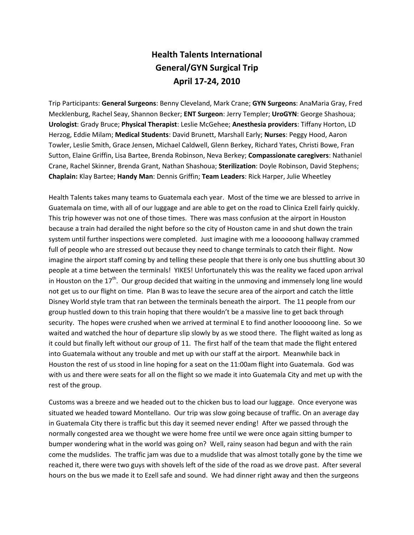## **Health Talents International General/GYN Surgical Trip April 17-24, 2010**

Trip Participants: **General Surgeons**: Benny Cleveland, Mark Crane; **GYN Surgeons**: AnaMaria Gray, Fred Mecklenburg, Rachel Seay, Shannon Becker; **ENT Surgeon**: Jerry Templer; **UroGYN**: George Shashoua; **Urologist**: Grady Bruce; **Physical Therapist**: Leslie McGehee; **Anesthesia providers**: Tiffany Horton, LD Herzog, Eddie Milam; **Medical Students**: David Brunett, Marshall Early; **Nurses**: Peggy Hood, Aaron Towler, Leslie Smith, Grace Jensen, Michael Caldwell, Glenn Berkey, Richard Yates, Christi Bowe, Fran Sutton, Elaine Griffin, Lisa Bartee, Brenda Robinson, Neva Berkey; **Compassionate caregivers**: Nathaniel Crane, Rachel Skinner, Brenda Grant, Nathan Shashoua; **Sterilization**: Doyle Robinson, David Stephens; **Chaplain:** Klay Bartee; **Handy Man**: Dennis Griffin; **Team Leaders**: Rick Harper, Julie Wheetley

Health Talents takes many teams to Guatemala each year. Most of the time we are blessed to arrive in Guatemala on time, with all of our luggage and are able to get on the road to Clinica Ezell fairly quickly. This trip however was not one of those times. There was mass confusion at the airport in Houston because a train had derailed the night before so the city of Houston came in and shut down the train system until further inspections were completed. Just imagine with me a loooooong hallway crammed full of people who are stressed out because they need to change terminals to catch their flight. Now imagine the airport staff coming by and telling these people that there is only one bus shuttling about 30 people at a time between the terminals! YIKES! Unfortunately this was the reality we faced upon arrival in Houston on the  $17<sup>th</sup>$ . Our group decided that waiting in the unmoving and immensely long line would not get us to our flight on time. Plan B was to leave the secure area of the airport and catch the little Disney World style tram that ran between the terminals beneath the airport. The 11 people from our group hustled down to this train hoping that there wouldn't be a massive line to get back through security. The hopes were crushed when we arrived at terminal E to find another loooooong line. So we waited and watched the hour of departure slip slowly by as we stood there. The flight waited as long as it could but finally left without our group of 11. The first half of the team that made the flight entered into Guatemala without any trouble and met up with our staff at the airport. Meanwhile back in Houston the rest of us stood in line hoping for a seat on the 11:00am flight into Guatemala. God was with us and there were seats for all on the flight so we made it into Guatemala City and met up with the rest of the group.

Customs was a breeze and we headed out to the chicken bus to load our luggage. Once everyone was situated we headed toward Montellano. Our trip was slow going because of traffic. On an average day in Guatemala City there is traffic but this day it seemed never ending! After we passed through the normally congested area we thought we were home free until we were once again sitting bumper to bumper wondering what in the world was going on? Well, rainy season had begun and with the rain come the mudslides. The traffic jam was due to a mudslide that was almost totally gone by the time we reached it, there were two guys with shovels left of the side of the road as we drove past. After several hours on the bus we made it to Ezell safe and sound. We had dinner right away and then the surgeons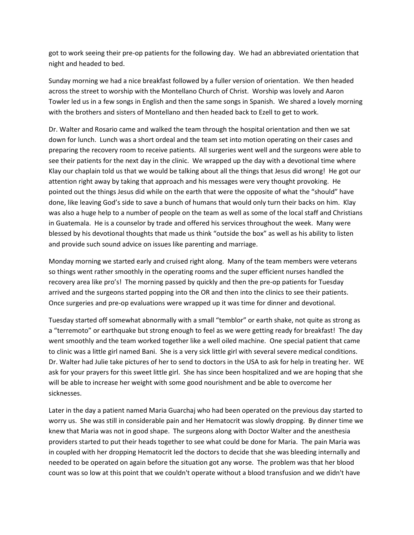got to work seeing their pre-op patients for the following day. We had an abbreviated orientation that night and headed to bed.

Sunday morning we had a nice breakfast followed by a fuller version of orientation. We then headed across the street to worship with the Montellano Church of Christ. Worship was lovely and Aaron Towler led us in a few songs in English and then the same songs in Spanish. We shared a lovely morning with the brothers and sisters of Montellano and then headed back to Ezell to get to work.

Dr. Walter and Rosario came and walked the team through the hospital orientation and then we sat down for lunch. Lunch was a short ordeal and the team set into motion operating on their cases and preparing the recovery room to receive patients. All surgeries went well and the surgeons were able to see their patients for the next day in the clinic. We wrapped up the day with a devotional time where Klay our chaplain told us that we would be talking about all the things that Jesus did wrong! He got our attention right away by taking that approach and his messages were very thought provoking. He pointed out the things Jesus did while on the earth that were the opposite of what the "should" have done, like leaving God's side to save a bunch of humans that would only turn their backs on him. Klay was also a huge help to a number of people on the team as well as some of the local staff and Christians in Guatemala. He is a counselor by trade and offered his services throughout the week. Many were blessed by his devotional thoughts that made us think "outside the box" as well as his ability to listen and provide such sound advice on issues like parenting and marriage.

Monday morning we started early and cruised right along. Many of the team members were veterans so things went rather smoothly in the operating rooms and the super efficient nurses handled the recovery area like pro's! The morning passed by quickly and then the pre-op patients for Tuesday arrived and the surgeons started popping into the OR and then into the clinics to see their patients. Once surgeries and pre-op evaluations were wrapped up it was time for dinner and devotional.

Tuesday started off somewhat abnormally with a small "temblor" or earth shake, not quite as strong as a "terremoto" or earthquake but strong enough to feel as we were getting ready for breakfast! The day went smoothly and the team worked together like a well oiled machine. One special patient that came to clinic was a little girl named Bani. She is a very sick little girl with several severe medical conditions. Dr. Walter had Julie take pictures of her to send to doctors in the USA to ask for help in treating her. WE ask for your prayers for this sweet little girl. She has since been hospitalized and we are hoping that she will be able to increase her weight with some good nourishment and be able to overcome her sicknesses.

Later in the day a patient named Maria Guarchaj who had been operated on the previous day started to worry us. She was still in considerable pain and her Hematocrit was slowly dropping. By dinner time we knew that Maria was not in good shape. The surgeons along with Doctor Walter and the anesthesia providers started to put their heads together to see what could be done for Maria. The pain Maria was in coupled with her dropping Hematocrit led the doctors to decide that she was bleeding internally and needed to be operated on again before the situation got any worse. The problem was that her blood count was so low at this point that we couldn't operate without a blood transfusion and we didn't have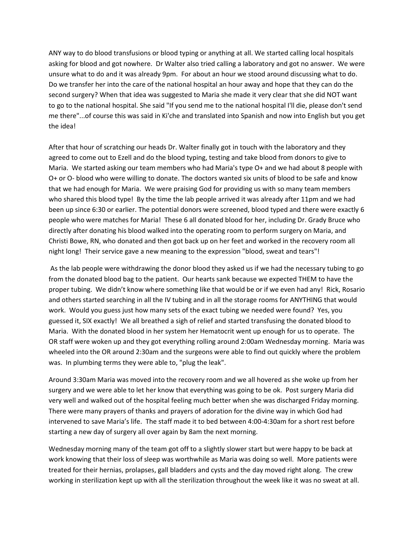ANY way to do blood transfusions or blood typing or anything at all. We started calling local hospitals asking for blood and got nowhere. Dr Walter also tried calling a laboratory and got no answer. We were unsure what to do and it was already 9pm. For about an hour we stood around discussing what to do. Do we transfer her into the care of the national hospital an hour away and hope that they can do the second surgery? When that idea was suggested to Maria she made it very clear that she did NOT want to go to the national hospital. She said "If you send me to the national hospital I'll die, please don't send me there"...of course this was said in Ki'che and translated into Spanish and now into English but you get the idea!

After that hour of scratching our heads Dr. Walter finally got in touch with the laboratory and they agreed to come out to Ezell and do the blood typing, testing and take blood from donors to give to Maria. We started asking our team members who had Maria's type O+ and we had about 8 people with O+ or O- blood who were willing to donate. The doctors wanted six units of blood to be safe and know that we had enough for Maria. We were praising God for providing us with so many team members who shared this blood type! By the time the lab people arrived it was already after 11pm and we had been up since 6:30 or earlier. The potential donors were screened, blood typed and there were exactly 6 people who were matches for Maria! These 6 all donated blood for her, including Dr. Grady Bruce who directly after donating his blood walked into the operating room to perform surgery on Maria, and Christi Bowe, RN, who donated and then got back up on her feet and worked in the recovery room all night long! Their service gave a new meaning to the expression "blood, sweat and tears"!

As the lab people were withdrawing the donor blood they asked us if we had the necessary tubing to go from the donated blood bag to the patient. Our hearts sank because we expected THEM to have the proper tubing. We didn't know where something like that would be or if we even had any! Rick, Rosario and others started searching in all the IV tubing and in all the storage rooms for ANYTHING that would work. Would you guess just how many sets of the exact tubing we needed were found? Yes, you guessed it, SIX exactly! We all breathed a sigh of relief and started transfusing the donated blood to Maria. With the donated blood in her system her Hematocrit went up enough for us to operate. The OR staff were woken up and they got everything rolling around 2:00am Wednesday morning. Maria was wheeled into the OR around 2:30am and the surgeons were able to find out quickly where the problem was. In plumbing terms they were able to, "plug the leak".

Around 3:30am Maria was moved into the recovery room and we all hovered as she woke up from her surgery and we were able to let her know that everything was going to be ok. Post surgery Maria did very well and walked out of the hospital feeling much better when she was discharged Friday morning. There were many prayers of thanks and prayers of adoration for the divine way in which God had intervened to save Maria's life. The staff made it to bed between 4:00-4:30am for a short rest before starting a new day of surgery all over again by 8am the next morning.

Wednesday morning many of the team got off to a slightly slower start but were happy to be back at work knowing that their loss of sleep was worthwhile as Maria was doing so well. More patients were treated for their hernias, prolapses, gall bladders and cysts and the day moved right along. The crew working in sterilization kept up with all the sterilization throughout the week like it was no sweat at all.